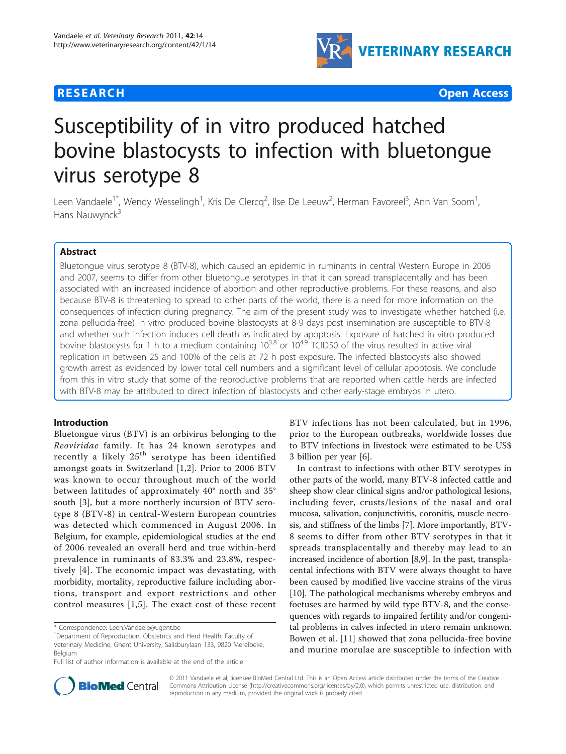



# Susceptibility of in vitro produced hatched bovine blastocysts to infection with bluetongue virus serotype 8

Leen Vandaele<sup>1\*</sup>, Wendy Wesselingh<sup>1</sup>, Kris De Clercq<sup>2</sup>, Ilse De Leeuw<sup>2</sup>, Herman Favoreel<sup>3</sup>, Ann Van Soom<sup>1</sup> , Hans Nauwynck<sup>3</sup>

# Abstract

Bluetongue virus serotype 8 (BTV-8), which caused an epidemic in ruminants in central Western Europe in 2006 and 2007, seems to differ from other bluetongue serotypes in that it can spread transplacentally and has been associated with an increased incidence of abortion and other reproductive problems. For these reasons, and also because BTV-8 is threatening to spread to other parts of the world, there is a need for more information on the consequences of infection during pregnancy. The aim of the present study was to investigate whether hatched (i.e. zona pellucida-free) in vitro produced bovine blastocysts at 8-9 days post insemination are susceptible to BTV-8 and whether such infection induces cell death as indicated by apoptosis. Exposure of hatched in vitro produced bovine blastocysts for 1 h to a medium containing  $10^{3.8}$  or  $10^{4.9}$  TCID50 of the virus resulted in active viral replication in between 25 and 100% of the cells at 72 h post exposure. The infected blastocysts also showed growth arrest as evidenced by lower total cell numbers and a significant level of cellular apoptosis. We conclude from this in vitro study that some of the reproductive problems that are reported when cattle herds are infected with BTV-8 may be attributed to direct infection of blastocysts and other early-stage embryos in utero.

# Introduction

Bluetongue virus (BTV) is an orbivirus belonging to the Reoviridae family. It has 24 known serotypes and recently a likely 25<sup>th</sup> serotype has been identified amongst goats in Switzerland [[1,2\]](#page-6-0). Prior to 2006 BTV was known to occur throughout much of the world between latitudes of approximately 40° north and 35° south [[3\]](#page-6-0), but a more northerly incursion of BTV serotype 8 (BTV-8) in central-Western European countries was detected which commenced in August 2006. In Belgium, for example, epidemiological studies at the end of 2006 revealed an overall herd and true within-herd prevalence in ruminants of 83.3% and 23.8%, respectively [[4\]](#page-6-0). The economic impact was devastating, with morbidity, mortality, reproductive failure including abortions, transport and export restrictions and other control measures [[1,5](#page-6-0)]. The exact cost of these recent

BTV infections has not been calculated, but in 1996, prior to the European outbreaks, worldwide losses due to BTV infections in livestock were estimated to be US\$ 3 billion per year [\[6](#page-6-0)].

In contrast to infections with other BTV serotypes in other parts of the world, many BTV-8 infected cattle and sheep show clear clinical signs and/or pathological lesions, including fever, crusts/lesions of the nasal and oral mucosa, salivation, conjunctivitis, coronitis, muscle necrosis, and stiffness of the limbs [\[7](#page-6-0)]. More importantly, BTV-8 seems to differ from other BTV serotypes in that it spreads transplacentally and thereby may lead to an increased incidence of abortion [[8,9](#page-6-0)]. In the past, transplacental infections with BTV were always thought to have been caused by modified live vaccine strains of the virus [[10\]](#page-6-0). The pathological mechanisms whereby embryos and foetuses are harmed by wild type BTV-8, and the consequences with regards to impaired fertility and/or congenital problems in calves infected in utero remain unknown. Bowen et al. [\[11](#page-6-0)] showed that zona pellucida-free bovine and murine morulae are susceptible to infection with



© 2011 Vandaele et al; licensee BioMed Central Ltd. This is an Open Access article distributed under the terms of the Creative Commons Attribution License [\(http://creativecommons.org/licenses/by/2.0](http://creativecommons.org/licenses/by/2.0)), which permits unrestricted use, distribution, and reproduction in any medium, provided the original work is properly cited.

<sup>\*</sup> Correspondence: [Leen.Vandaele@ugent.be](mailto:Leen.Vandaele@ugent.be)

<sup>&</sup>lt;sup>1</sup>Department of Reproduction, Obstetrics and Herd Health, Faculty of Veterinary Medicine, Ghent University, Salisburylaan 133, 9820 Merelbeke, Belgium

Full list of author information is available at the end of the article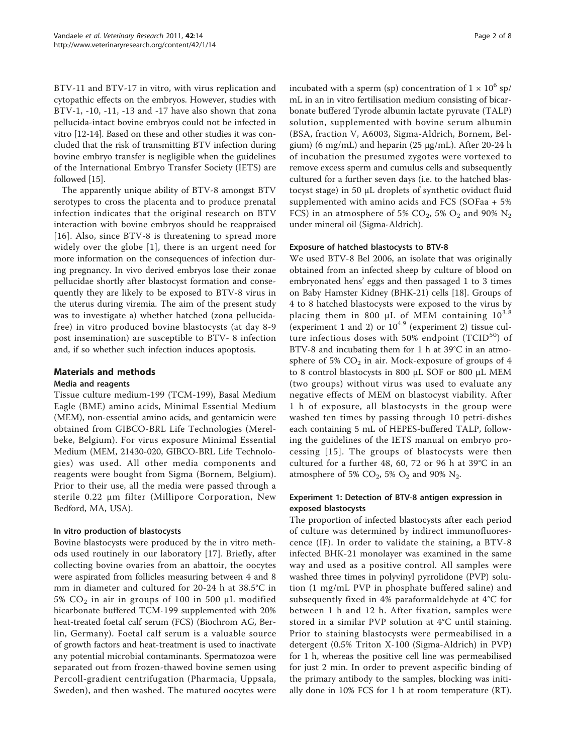BTV-11 and BTV-17 in vitro, with virus replication and cytopathic effects on the embryos. However, studies with BTV-1, -10, -11, -13 and -17 have also shown that zona pellucida-intact bovine embryos could not be infected in vitro [\[12-14\]](#page-6-0). Based on these and other studies it was concluded that the risk of transmitting BTV infection during bovine embryo transfer is negligible when the guidelines of the International Embryo Transfer Society (IETS) are followed [\[15\]](#page-6-0).

The apparently unique ability of BTV-8 amongst BTV serotypes to cross the placenta and to produce prenatal infection indicates that the original research on BTV interaction with bovine embryos should be reappraised [[16](#page-6-0)]. Also, since BTV-8 is threatening to spread more widely over the globe [[1\]](#page-6-0), there is an urgent need for more information on the consequences of infection during pregnancy. In vivo derived embryos lose their zonae pellucidae shortly after blastocyst formation and consequently they are likely to be exposed to BTV-8 virus in the uterus during viremia. The aim of the present study was to investigate a) whether hatched (zona pellucidafree) in vitro produced bovine blastocysts (at day 8-9 post insemination) are susceptible to BTV- 8 infection and, if so whether such infection induces apoptosis.

# Materials and methods

## Media and reagents

Tissue culture medium-199 (TCM-199), Basal Medium Eagle (BME) amino acids, Minimal Essential Medium (MEM), non-essential amino acids, and gentamicin were obtained from GIBCO-BRL Life Technologies (Merelbeke, Belgium). For virus exposure Minimal Essential Medium (MEM, 21430-020, GIBCO-BRL Life Technologies) was used. All other media components and reagents were bought from Sigma (Bornem, Belgium). Prior to their use, all the media were passed through a sterile 0.22 μm filter (Millipore Corporation, New Bedford, MA, USA).

## In vitro production of blastocysts

Bovine blastocysts were produced by the in vitro methods used routinely in our laboratory [[17](#page-6-0)]. Briefly, after collecting bovine ovaries from an abattoir, the oocytes were aspirated from follicles measuring between 4 and 8 mm in diameter and cultured for 20-24 h at 38.5°C in 5%  $CO<sub>2</sub>$  in air in groups of 100 in 500 μL modified bicarbonate buffered TCM-199 supplemented with 20% heat-treated foetal calf serum (FCS) (Biochrom AG, Berlin, Germany). Foetal calf serum is a valuable source of growth factors and heat-treatment is used to inactivate any potential microbial contaminants. Spermatozoa were separated out from frozen-thawed bovine semen using Percoll-gradient centrifugation (Pharmacia, Uppsala, Sweden), and then washed. The matured oocytes were incubated with a sperm (sp) concentration of  $1 \times 10^6$  sp/ mL in an in vitro fertilisation medium consisting of bicarbonate buffered Tyrode albumin lactate pyruvate (TALP) solution, supplemented with bovine serum albumin (BSA, fraction V, A6003, Sigma-Aldrich, Bornem, Belgium) (6 mg/mL) and heparin (25 μg/mL). After 20-24 h of incubation the presumed zygotes were vortexed to remove excess sperm and cumulus cells and subsequently cultured for a further seven days (i.e. to the hatched blastocyst stage) in 50 μL droplets of synthetic oviduct fluid supplemented with amino acids and FCS (SOFaa + 5% FCS) in an atmosphere of 5%  $CO_2$ , 5%  $O_2$  and 90%  $N_2$ under mineral oil (Sigma-Aldrich).

## Exposure of hatched blastocysts to BTV-8

We used BTV-8 Bel 2006, an isolate that was originally obtained from an infected sheep by culture of blood on embryonated hens' eggs and then passaged 1 to 3 times on Baby Hamster Kidney (BHK-21) cells [[18](#page-6-0)]. Groups of 4 to 8 hatched blastocysts were exposed to the virus by placing them in 800  $\mu$ L of MEM containing  $10^{3.8}$ (experiment 1 and 2) or  $10^{4.9}$  (experiment 2) tissue culture infectious doses with 50% endpoint  $(TCID<sup>50</sup>)$  of BTV-8 and incubating them for 1 h at 39°C in an atmosphere of 5%  $CO<sub>2</sub>$  in air. Mock-exposure of groups of 4 to 8 control blastocysts in 800 μL SOF or 800 μL MEM (two groups) without virus was used to evaluate any negative effects of MEM on blastocyst viability. After 1 h of exposure, all blastocysts in the group were washed ten times by passing through 10 petri-dishes each containing 5 mL of HEPES-buffered TALP, following the guidelines of the IETS manual on embryo processing [[15](#page-6-0)]. The groups of blastocysts were then cultured for a further 48, 60, 72 or 96 h at 39°C in an atmosphere of 5%  $CO<sub>2</sub>$ , 5%  $O<sub>2</sub>$  and 90%  $N<sub>2</sub>$ .

## Experiment 1: Detection of BTV-8 antigen expression in exposed blastocysts

The proportion of infected blastocysts after each period of culture was determined by indirect immunofluorescence (IF). In order to validate the staining, a BTV-8 infected BHK-21 monolayer was examined in the same way and used as a positive control. All samples were washed three times in polyvinyl pyrrolidone (PVP) solution (1 mg/mL PVP in phosphate buffered saline) and subsequently fixed in 4% paraformaldehyde at 4°C for between 1 h and 12 h. After fixation, samples were stored in a similar PVP solution at 4°C until staining. Prior to staining blastocysts were permeabilised in a detergent (0.5% Triton X-100 (Sigma-Aldrich) in PVP) for 1 h, whereas the positive cell line was permeabilised for just 2 min. In order to prevent aspecific binding of the primary antibody to the samples, blocking was initially done in 10% FCS for 1 h at room temperature (RT).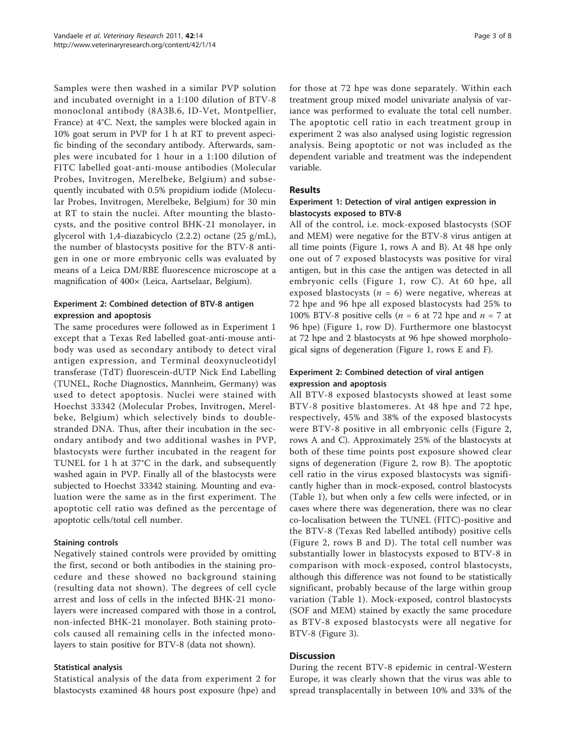Samples were then washed in a similar PVP solution and incubated overnight in a 1:100 dilution of BTV-8 monoclonal antibody (8A3B.6, ID-Vet, Montpellier, France) at 4°C. Next, the samples were blocked again in 10% goat serum in PVP for 1 h at RT to prevent aspecific binding of the secondary antibody. Afterwards, samples were incubated for 1 hour in a 1:100 dilution of FITC labelled goat-anti-mouse antibodies (Molecular Probes, Invitrogen, Merelbeke, Belgium) and subsequently incubated with 0.5% propidium iodide (Molecular Probes, Invitrogen, Merelbeke, Belgium) for 30 min at RT to stain the nuclei. After mounting the blastocysts, and the positive control BHK-21 monolayer, in glycerol with 1,4-diazabicyclo (2.2.2) octane (25 g/mL), the number of blastocysts positive for the BTV-8 antigen in one or more embryonic cells was evaluated by means of a Leica DM/RBE fluorescence microscope at a magnification of 400× (Leica, Aartselaar, Belgium).

## Experiment 2: Combined detection of BTV-8 antigen expression and apoptosis

The same procedures were followed as in Experiment 1 except that a Texas Red labelled goat-anti-mouse antibody was used as secondary antibody to detect viral antigen expression, and Terminal deoxynucleotidyl transferase (TdT) fluorescein-dUTP Nick End Labelling (TUNEL, Roche Diagnostics, Mannheim, Germany) was used to detect apoptosis. Nuclei were stained with Hoechst 33342 (Molecular Probes, Invitrogen, Merelbeke, Belgium) which selectively binds to doublestranded DNA. Thus, after their incubation in the secondary antibody and two additional washes in PVP, blastocysts were further incubated in the reagent for TUNEL for 1 h at 37°C in the dark, and subsequently washed again in PVP. Finally all of the blastocysts were subjected to Hoechst 33342 staining. Mounting and evaluation were the same as in the first experiment. The apoptotic cell ratio was defined as the percentage of apoptotic cells/total cell number.

## Staining controls

Negatively stained controls were provided by omitting the first, second or both antibodies in the staining procedure and these showed no background staining (resulting data not shown). The degrees of cell cycle arrest and loss of cells in the infected BHK-21 monolayers were increased compared with those in a control, non-infected BHK-21 monolayer. Both staining protocols caused all remaining cells in the infected monolayers to stain positive for BTV-8 (data not shown).

# Statistical analysis

Statistical analysis of the data from experiment 2 for blastocysts examined 48 hours post exposure (hpe) and for those at 72 hpe was done separately. Within each treatment group mixed model univariate analysis of variance was performed to evaluate the total cell number. The apoptotic cell ratio in each treatment group in experiment 2 was also analysed using logistic regression analysis. Being apoptotic or not was included as the dependent variable and treatment was the independent variable.

# Results

# Experiment 1: Detection of viral antigen expression in blastocysts exposed to BTV-8

All of the control, i.e. mock-exposed blastocysts (SOF and MEM) were negative for the BTV-8 virus antigen at all time points (Figure [1,](#page-3-0) rows A and B). At 48 hpe only one out of 7 exposed blastocysts was positive for viral antigen, but in this case the antigen was detected in all embryonic cells (Figure [1,](#page-3-0) row C). At 60 hpe, all exposed blastocysts ( $n = 6$ ) were negative, whereas at 72 hpe and 96 hpe all exposed blastocysts had 25% to 100% BTV-8 positive cells ( $n = 6$  at 72 hpe and  $n = 7$  at 96 hpe) (Figure [1](#page-3-0), row D). Furthermore one blastocyst at 72 hpe and 2 blastocysts at 96 hpe showed morphological signs of degeneration (Figure [1,](#page-3-0) rows E and F).

## Experiment 2: Combined detection of viral antigen expression and apoptosis

All BTV-8 exposed blastocysts showed at least some BTV-8 positive blastomeres. At 48 hpe and 72 hpe, respectively, 45% and 38% of the exposed blastocysts were BTV-8 positive in all embryonic cells (Figure [2](#page-4-0), rows A and C). Approximately 25% of the blastocysts at both of these time points post exposure showed clear signs of degeneration (Figure [2](#page-4-0), row B). The apoptotic cell ratio in the virus exposed blastocysts was significantly higher than in mock-exposed, control blastocysts (Table [1](#page-4-0)), but when only a few cells were infected, or in cases where there was degeneration, there was no clear co-localisation between the TUNEL (FITC)-positive and the BTV-8 (Texas Red labelled antibody) positive cells (Figure [2,](#page-4-0) rows B and D). The total cell number was substantially lower in blastocysts exposed to BTV-8 in comparison with mock-exposed, control blastocysts, although this difference was not found to be statistically significant, probably because of the large within group variation (Table [1\)](#page-4-0). Mock-exposed, control blastocysts (SOF and MEM) stained by exactly the same procedure as BTV-8 exposed blastocysts were all negative for BTV-8 (Figure [3](#page-5-0)).

# **Discussion**

During the recent BTV-8 epidemic in central-Western Europe, it was clearly shown that the virus was able to spread transplacentally in between 10% and 33% of the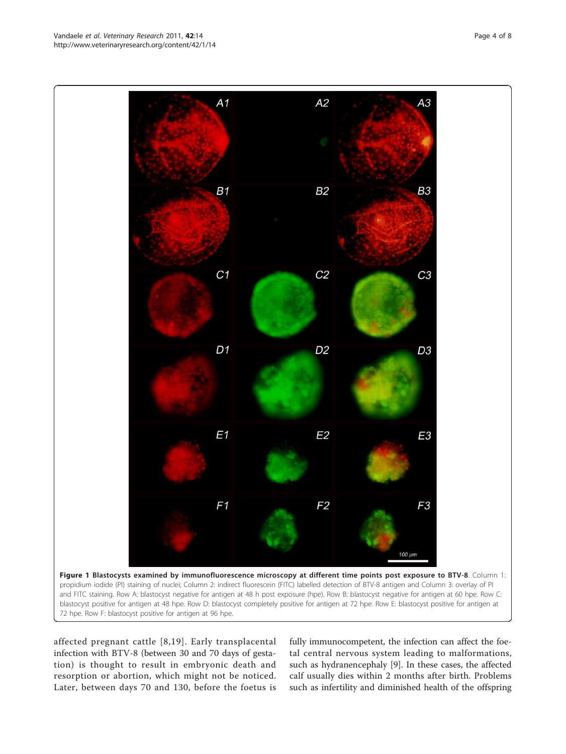affected pregnant cattle [[8,19\]](#page-6-0). Early transplacental infection with BTV-8 (between 30 and 70 days of gestation) is thought to result in embryonic death and resorption or abortion, which might not be noticed. Later, between days 70 and 130, before the foetus is

fully immunocompetent, the infection can affect the foetal central nervous system leading to malformations, such as hydranencephaly [\[9\]](#page-6-0). In these cases, the affected calf usually dies within 2 months after birth. Problems such as infertility and diminished health of the offspring

<span id="page-3-0"></span>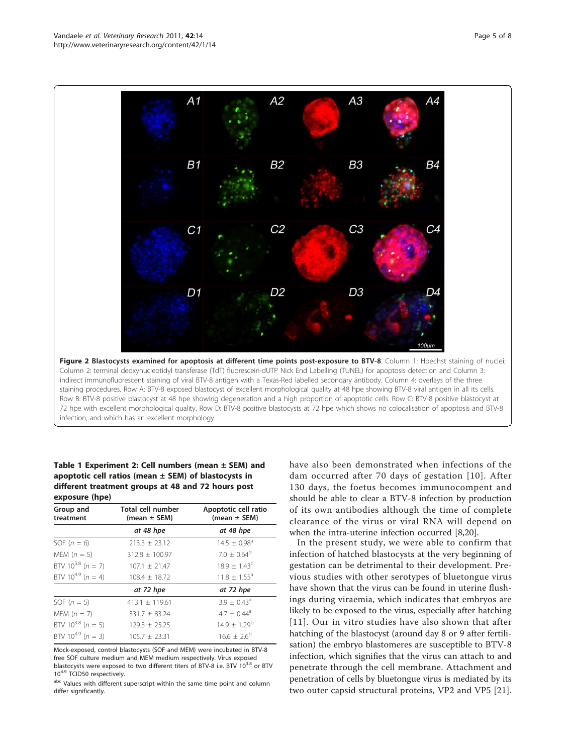72 hpe with excellent morphological quality. Row D: BTV-8 positive blastocysts at 72 hpe which shows no colocalisation of apoptosis and BTV-8 infection, and which has an excellent morphology.

Table 1 Experiment 2: Cell numbers (mean ± SEM) and apoptotic cell ratios (mean  $\pm$  SEM) of blastocysts in different treatment groups at 48 and 72 hours post exposure (hpe)

| Group and<br>treatment | Total cell number<br>$(mean \pm SEM)$ | Apoptotic cell ratio<br>(mean $\pm$ SEM) |
|------------------------|---------------------------------------|------------------------------------------|
|                        | at 48 hpe                             | at 48 hpe                                |
| SOF $(n = 6)$          | $213.3 \pm 23.12$                     | $14.5 \pm 0.98$ <sup>a</sup>             |
| MEM $(n = 5)$          | $312.8 + 100.97$                      | $7.0 + 0.64^b$                           |
| BTV $10^{3.8}$ (n = 7) | $107.1 \pm 21.47$                     | $18.9 + 1.43^c$                          |
| BTV $10^{4.9}$ (n = 4) | $108.4 + 18.72$                       | $11.8 + 1.55^a$                          |
|                        | at 72 hpe                             | at 72 hpe                                |
| SOF $(n = 5)$          | $413.1 \pm 119.61$                    | $3.9 \pm 0.43^{\circ}$                   |
| MEM $(n = 7)$          | $331.7 + 83.24$                       | $4.7 + 0.44$ <sup>a</sup>                |
| BTV $10^{3.8}$ (n = 5) | $129.3 + 25.25$                       | $14.9 \pm 1.29^b$                        |
| BTV $10^{4.9}$ (n = 3) | $105.7 + 23.31$                       | $16.6 \pm 2.6^{\circ}$                   |

Mock-exposed, control blastocysts (SOF and MEM) were incubated in BTV-8 free SOF culture medium and MEM medium respectively. Virus exposed blastocysts were exposed to two different titers of BTV-8 i.e. BTV  $10^{3.8}$  or BTV 10<sup>4.9</sup> TCID50 respectively.

abc Values with different superscript within the same time point and column differ significantly.

have also been demonstrated when infections of the dam occurred after 70 days of gestation [[10\]](#page-6-0). After 130 days, the foetus becomes immunocompent and should be able to clear a BTV-8 infection by production of its own antibodies although the time of complete clearance of the virus or viral RNA will depend on when the intra-uterine infection occurred [[8,20\]](#page-6-0).

In the present study, we were able to confirm that infection of hatched blastocysts at the very beginning of gestation can be detrimental to their development. Previous studies with other serotypes of bluetongue virus have shown that the virus can be found in uterine flushings during viraemia, which indicates that embryos are likely to be exposed to the virus, especially after hatching [[11](#page-6-0)]. Our in vitro studies have also shown that after hatching of the blastocyst (around day 8 or 9 after fertilisation) the embryo blastomeres are susceptible to BTV-8 infection, which signifies that the virus can attach to and penetrate through the cell membrane. Attachment and penetration of cells by bluetongue virus is mediated by its two outer capsid structural proteins, VP2 and VP5 [\[21](#page-6-0)].

<span id="page-4-0"></span>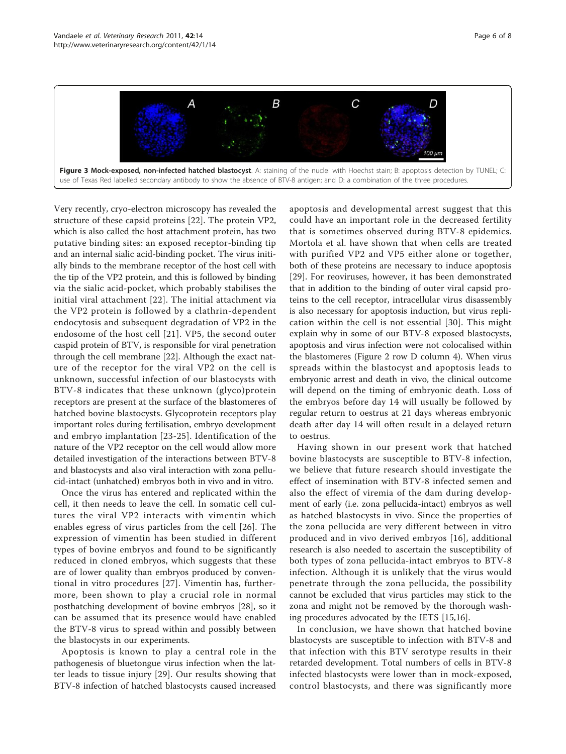<span id="page-5-0"></span>

Very recently, cryo-electron microscopy has revealed the structure of these capsid proteins [[22\]](#page-6-0). The protein VP2, which is also called the host attachment protein, has two putative binding sites: an exposed receptor-binding tip and an internal sialic acid-binding pocket. The virus initially binds to the membrane receptor of the host cell with the tip of the VP2 protein, and this is followed by binding via the sialic acid-pocket, which probably stabilises the initial viral attachment [[22](#page-6-0)]. The initial attachment via the VP2 protein is followed by a clathrin-dependent endocytosis and subsequent degradation of VP2 in the endosome of the host cell [[21](#page-6-0)]. VP5, the second outer caspid protein of BTV, is responsible for viral penetration through the cell membrane [[22\]](#page-6-0). Although the exact nature of the receptor for the viral VP2 on the cell is unknown, successful infection of our blastocysts with BTV-8 indicates that these unknown (glyco)protein receptors are present at the surface of the blastomeres of hatched bovine blastocysts. Glycoprotein receptors play important roles during fertilisation, embryo development and embryo implantation [[23](#page-6-0)-[25](#page-6-0)]. Identification of the nature of the VP2 receptor on the cell would allow more detailed investigation of the interactions between BTV-8 and blastocysts and also viral interaction with zona pellucid-intact (unhatched) embryos both in vivo and in vitro.

Once the virus has entered and replicated within the cell, it then needs to leave the cell. In somatic cell cultures the viral VP2 interacts with vimentin which enables egress of virus particles from the cell [[26](#page-6-0)]. The expression of vimentin has been studied in different types of bovine embryos and found to be significantly reduced in cloned embryos, which suggests that these are of lower quality than embryos produced by conventional in vitro procedures [[27](#page-6-0)]. Vimentin has, furthermore, been shown to play a crucial role in normal posthatching development of bovine embryos [[28\]](#page-7-0), so it can be assumed that its presence would have enabled the BTV-8 virus to spread within and possibly between the blastocysts in our experiments.

Apoptosis is known to play a central role in the pathogenesis of bluetongue virus infection when the latter leads to tissue injury [[29](#page-7-0)]. Our results showing that BTV-8 infection of hatched blastocysts caused increased apoptosis and developmental arrest suggest that this could have an important role in the decreased fertility that is sometimes observed during BTV-8 epidemics. Mortola et al. have shown that when cells are treated with purified VP2 and VP5 either alone or together, both of these proteins are necessary to induce apoptosis [[29\]](#page-7-0). For reoviruses, however, it has been demonstrated that in addition to the binding of outer viral capsid proteins to the cell receptor, intracellular virus disassembly is also necessary for apoptosis induction, but virus replication within the cell is not essential [[30\]](#page-7-0). This might explain why in some of our BTV-8 exposed blastocysts, apoptosis and virus infection were not colocalised within the blastomeres (Figure [2](#page-4-0) row D column 4). When virus spreads within the blastocyst and apoptosis leads to embryonic arrest and death in vivo, the clinical outcome will depend on the timing of embryonic death. Loss of the embryos before day 14 will usually be followed by regular return to oestrus at 21 days whereas embryonic death after day 14 will often result in a delayed return to oestrus.

Having shown in our present work that hatched bovine blastocysts are susceptible to BTV-8 infection, we believe that future research should investigate the effect of insemination with BTV-8 infected semen and also the effect of viremia of the dam during development of early (i.e. zona pellucida-intact) embryos as well as hatched blastocysts in vivo. Since the properties of the zona pellucida are very different between in vitro produced and in vivo derived embryos [[16](#page-6-0)], additional research is also needed to ascertain the susceptibility of both types of zona pellucida-intact embryos to BTV-8 infection. Although it is unlikely that the virus would penetrate through the zona pellucida, the possibility cannot be excluded that virus particles may stick to the zona and might not be removed by the thorough washing procedures advocated by the IETS [\[15,16\]](#page-6-0).

In conclusion, we have shown that hatched bovine blastocysts are susceptible to infection with BTV-8 and that infection with this BTV serotype results in their retarded development. Total numbers of cells in BTV-8 infected blastocysts were lower than in mock-exposed, control blastocysts, and there was significantly more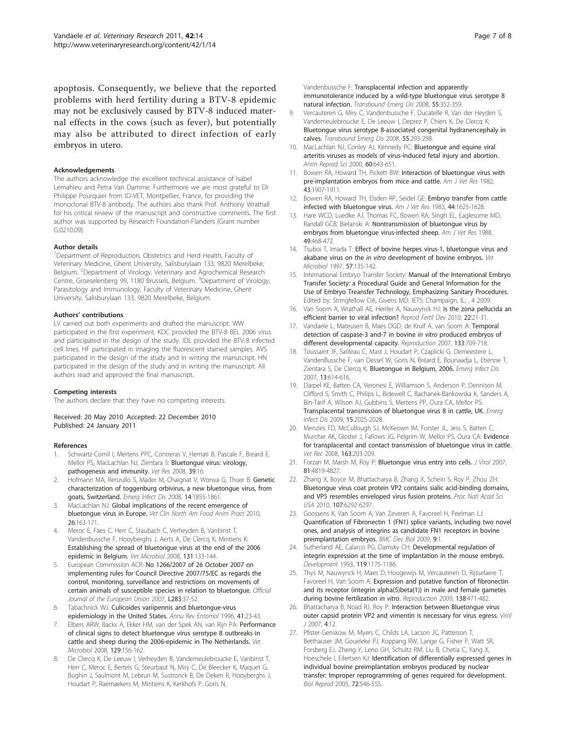<span id="page-6-0"></span>apoptosis. Consequently, we believe that the reported problems with herd fertility during a BTV-8 epidemic may not be exclusively caused by BTV-8 induced maternal effects in the cows (such as fever), but potentially may also be attributed to direct infection of early embryos in utero.

#### Acknowledgements

The authors acknowledge the excellent technical assistance of Isabel Lemahieu and Petra Van Damme. Furthermore we are most grateful to Dr Philippe Pourquier from ID-VET, Montpellier, France, for providing the monoclonal BTV-8 antibody. The authors also thank Prof. Anthony Wrathall for his critical review of the manuscript and constructive comments. The first author was supported by Research Foundation-Flanders (Grant number G.0210.09).

#### Author details

<sup>1</sup>Department of Reproduction, Obstetrics and Herd Health, Faculty of Veterinary Medicine, Ghent University, Salisburylaan 133, 9820 Merelbeke, Belgium. <sup>2</sup> Department of Virology, Veterinary and Agrochemical Research Centre, Groeselenberg 99, 1180 Brussels, Belgium. <sup>3</sup> Department of Virology, Parasitology and Immunology, Faculty of Veterinary Medicine, Ghent University, Salisburylaan 133, 9820 Merelbeke, Belgium.

#### Authors' contributions

LV carried out both experiments and drafted the manuscript. WW participated in the first experiment. KDC provided the BTV-8 BEL 2006 virus and participated in the design of the study. IDL provided the BTV-8 infected cell lines. HF participated in imaging the fluorescent stained samples. AVS participated in the design of the study and in writing the manuscript. HN participated in the design of the study and in writing the manuscript. All authors read and approved the final manuscript.

#### Competing interests

The authors declare that they have no competing interests.

Received: 20 May 2010 Accepted: 22 December 2010 Published: 24 January 2011

#### References

- 1. Schwartz-Cornil I, Mertens PPC, Contreras V, Hemati B, Pascale F, Breard E, Mellor PS, MacLachlan NJ, Zientara S: [Bluetongue virus: virology,](http://www.ncbi.nlm.nih.gov/pubmed/18215393?dopt=Abstract) [pathogenesis and immunity.](http://www.ncbi.nlm.nih.gov/pubmed/18215393?dopt=Abstract) Vet Res 2008, 39:16.
- 2. Hofmann MA, Renzullo S, Mader M, Chaignat V, Worwa G, Thuer B: [Genetic](http://www.ncbi.nlm.nih.gov/pubmed/19046507?dopt=Abstract) [characterization of toggenburg orbivirus, a new bluetongue virus, from](http://www.ncbi.nlm.nih.gov/pubmed/19046507?dopt=Abstract) [goats, Switzerland.](http://www.ncbi.nlm.nih.gov/pubmed/19046507?dopt=Abstract) Emerg Infect Dis 2008, 14:1855-1861.
- 3. MacLachlan NJ: [Global implications of the recent emergence of](http://www.ncbi.nlm.nih.gov/pubmed/20117549?dopt=Abstract) [bluetongue virus in Europe.](http://www.ncbi.nlm.nih.gov/pubmed/20117549?dopt=Abstract) Vet Clin North Am Food Anim Pract 2010, 26:163-171.
- Meroc E, Faes C, Herr C, Staubach C, Verheyden B, Vanbinst T, Vandenbussche F, Hooyberghs J, Aerts A, De Clercq K, Mintiens K: [Establishing the spread of bluetongue virus at the end of the 2006](http://www.ncbi.nlm.nih.gov/pubmed/18479845?dopt=Abstract) [epidemic in Belgium.](http://www.ncbi.nlm.nih.gov/pubmed/18479845?dopt=Abstract) Vet Microbiol 2008, 131:133-144.
- 5. European Commission ACR: No 1266/2007 of 26 October 2007 on implementing rules for Council Directive 2007/75/EC as regards the control, monitoring, surveillance and restrictions on movements of certain animals of susceptible species in relation to bluetongue. Official Journal of the European Union 2007, L283:37-52.
- Tabachnick WJ: [Culicoides variipennis and bluetongue-virus](http://www.ncbi.nlm.nih.gov/pubmed/8546447?dopt=Abstract) [epidemiology in the United States.](http://www.ncbi.nlm.nih.gov/pubmed/8546447?dopt=Abstract) Annu Rev Entomol 1996, 41:23-43.
- 7. Elbers ARW, Backx A, Ekker HM, van der Spek AN, van Rijn PA: [Performance](http://www.ncbi.nlm.nih.gov/pubmed/18164148?dopt=Abstract) [of clinical signs to detect bluetongue virus serotype 8 outbreaks in](http://www.ncbi.nlm.nih.gov/pubmed/18164148?dopt=Abstract) [cattle and sheep during the 2006-epidemic in The Netherlands.](http://www.ncbi.nlm.nih.gov/pubmed/18164148?dopt=Abstract) Vet Microbiol 2008, 129:156-162.
- 8. De Clercq K, De Leeuw I, Verheyden B, Vandemeulebroucke E, Vanbinst T, Herr C, Meroc E, Bertels G, Steurbaut N, Miry C, De Bleecker K, Maquet G, Bughin J, Saulmont M, Lebrun M, Sustronck B, De Deken R, Hooyberghs J, Houdart P, Raemaekers M, Mintiens K, Kerkhofs P, Goris N,

Vandenbussche F: [Transplacental infection and apparently](http://www.ncbi.nlm.nih.gov/pubmed/18673339?dopt=Abstract) [immunotolerance induced by a wild-type bluetongue virus serotype 8](http://www.ncbi.nlm.nih.gov/pubmed/18673339?dopt=Abstract) [natural infection.](http://www.ncbi.nlm.nih.gov/pubmed/18673339?dopt=Abstract) Transbound Emerg Dis 2008, 55:352-359.

- 9. Vercauteren G, Miry C, Vandenbussche F, Ducatelle R, Van der Heyden S, Vandemeulebroucke E, De Leeuw I, Deprez P, Chiers K, De Clercq K: [Bluetongue virus serotype 8-associated congenital hydranencephaly in](http://www.ncbi.nlm.nih.gov/pubmed/18503510?dopt=Abstract) [calves.](http://www.ncbi.nlm.nih.gov/pubmed/18503510?dopt=Abstract) Transbound Emerg Dis 2008, 55:293-298.
- 10. MacLachlan NJ, Conley AJ, Kennedy PC: [Bluetongue and equine viral](http://www.ncbi.nlm.nih.gov/pubmed/10844231?dopt=Abstract) [arteritis viruses as models of virus-induced fetal injury and abortion.](http://www.ncbi.nlm.nih.gov/pubmed/10844231?dopt=Abstract) Anim Reprod Sci 2000, 60:643-651.
- 11. Bowen RA, Howard TH, Pickett BW: [Interaction of bluetongue virus with](http://www.ncbi.nlm.nih.gov/pubmed/6295219?dopt=Abstract) [pre-implantation embryos from mice and cattle.](http://www.ncbi.nlm.nih.gov/pubmed/6295219?dopt=Abstract) Am J Vet Res 1982, 43:1907-1911.
- 12. Bowen RA, Howard TH, Elsden RP, Seidel GE: [Embryo transfer from cattle](http://www.ncbi.nlm.nih.gov/pubmed/6312854?dopt=Abstract) [infected with bluetongue virus.](http://www.ncbi.nlm.nih.gov/pubmed/6312854?dopt=Abstract) Am J Vet Res 1983, 44:1625-1628.
- 13. Hare WCD, Luedke AJ, Thomas FC, Bowen RA, Singh EL, Eaglesome MD, Randall GCB, Bielanski A: [Nontransmission of bluetongue virus by](http://www.ncbi.nlm.nih.gov/pubmed/2837113?dopt=Abstract) [embryos from bluetongue virus-infected sheep.](http://www.ncbi.nlm.nih.gov/pubmed/2837113?dopt=Abstract) Am J Vet Res 1988, 49:468-472.
- 14. Tsuboi T, Imada T: [Effect of bovine herpes virus-1, bluetongue virus and](http://www.ncbi.nlm.nih.gov/pubmed/9355248?dopt=Abstract) akabane virus on the in vitro [development of bovine embryos.](http://www.ncbi.nlm.nih.gov/pubmed/9355248?dopt=Abstract) Vet Microbiol 1997, 57:135-142.
- 15. International Embryo Transfer Society: Manual of the International Embryo Transfer Society: a Procedural Guide and General Information for the Use of Embryo Treansfer Technology, Emphasizing Sanitary Procedures. Edited by: Stringfellow DA, Givens MD. IETS: Champaign, IL; , 4 2009.
- 16. Van Soom A, Wrathall AE, Herrler A, Nauwynck HJ: [Is the zona pellucida an](http://www.ncbi.nlm.nih.gov/pubmed/20003842?dopt=Abstract) [efficient barrier to viral infection?](http://www.ncbi.nlm.nih.gov/pubmed/20003842?dopt=Abstract) Reprod Fertil Dev 2010, 22:21-31.
- 17. Vandaele L, Mateusen B, Maes DGD, de Kruif A, van Soom A: [Temporal](http://www.ncbi.nlm.nih.gov/pubmed/17504915?dopt=Abstract) [detection of caspase-3 and-7 in bovine](http://www.ncbi.nlm.nih.gov/pubmed/17504915?dopt=Abstract) in vitro produced embryos of [different developmental capacity.](http://www.ncbi.nlm.nih.gov/pubmed/17504915?dopt=Abstract) Reproduction 2007, 133:709-718.
- Toussaint JF, Sailleau C, Mast J, Houdart P, Czaplicki G, Demeestere L, VandenBussche F, van Dessel W, Goris N, Bréard E, Bounaadja L, Etienne T, Zientara S, De Clercq K: [Bluetongue in Belgium, 2006.](http://www.ncbi.nlm.nih.gov/pubmed/17553280?dopt=Abstract) Emerg Infect Dis 2007, 13:614-616.
- 19. Darpel KE, Batten CA, Veronesi E, Williamson S, Anderson P, Dennison M, Clifford S, Smith C, Philips L, Bidewell C, Bachanek-Bankowska K, Sanders A, Bin-Tarif A, Wilson AJ, Gubbins S, Mertens PP, Oura CA, Mellor PS: [Transplacental transmission of bluetongue virus 8 in cattle, UK.](http://www.ncbi.nlm.nih.gov/pubmed/19961692?dopt=Abstract) Emerg Infect Dis 2009, 15:2025-2028.
- 20. Menzies FD, McCullough SJ, McKeown IM, Forster JL, Jess S, Batten C, Murchie AK, Gloster J, Fallows JG, Pelgrim W, Mellor PS, Oura CA: [Evidence](http://www.ncbi.nlm.nih.gov/pubmed/18708653?dopt=Abstract) [for transplacental and contact transmission of bluetongue virus in cattle.](http://www.ncbi.nlm.nih.gov/pubmed/18708653?dopt=Abstract) Vet Rec 2008, 163:203-209.
- 21. Forzan M, Marsh M, Roy P: [Bluetongue virus entry into cells.](http://www.ncbi.nlm.nih.gov/pubmed/17267479?dopt=Abstract) J Virol 2007, 81:4819-4827.
- 22. Zhang X, Boyce M, Bhattacharya B, Zhang X, Schein S, Roy P, Zhou ZH: [Bluetongue virus coat protein VP2 contains sialic acid-binding domains,](http://www.ncbi.nlm.nih.gov/pubmed/20332209?dopt=Abstract) [and VP5 resembles enveloped virus fusion proteins.](http://www.ncbi.nlm.nih.gov/pubmed/20332209?dopt=Abstract) Proc Natl Acad Sci USA 2010, 107:6292-6297.
- 23. Goossens K, Van Soom A, Van Zeveren A, Favoreel H, Peelman LJ: [Quantification of Fibronectin 1 \(FN1\) splice variants, including two novel](http://www.ncbi.nlm.nih.gov/pubmed/19126199?dopt=Abstract) [ones, and analysis of integrins as candidate FN1 receptors in bovine](http://www.ncbi.nlm.nih.gov/pubmed/19126199?dopt=Abstract) [preimplantation embryos.](http://www.ncbi.nlm.nih.gov/pubmed/19126199?dopt=Abstract) BMC Dev Biol 2009, 9:1.
- 24. Sutherland AE, Calarco PG, Damsky CH: [Developmental regulation of](http://www.ncbi.nlm.nih.gov/pubmed/8306881?dopt=Abstract) [integrin expression at the time of implantation in the mouse embryo.](http://www.ncbi.nlm.nih.gov/pubmed/8306881?dopt=Abstract) Development 1993, 119:1175-1186.
- 25. Thys M, Nauwynck H, Maes D, Hoogewijs M, Vercauteren D, Rijsselaere T, Favoreel H, Van Soom A: [Expression and putative function of fibronectin](http://www.ncbi.nlm.nih.gov/pubmed/19505962?dopt=Abstract) [and its receptor \(integrin alpha\(5\)beta\(1\)\) in male and female gametes](http://www.ncbi.nlm.nih.gov/pubmed/19505962?dopt=Abstract) [during bovine fertilization](http://www.ncbi.nlm.nih.gov/pubmed/19505962?dopt=Abstract) in vitro. Reproduction 2009, 138:471-482.
- 26. Bhattacharya B, Noad RJ, Roy P: [Interaction between Bluetongue virus](http://www.ncbi.nlm.nih.gov/pubmed/17241456?dopt=Abstract) [outer capsid protein VP2 and vimentin is necessary for virus egress.](http://www.ncbi.nlm.nih.gov/pubmed/17241456?dopt=Abstract) Virol J 2007, 4:12.
- 27. Pfister-Genskow M, Myers C, Childs LA, Lacson JC, Patterson T, Betthauser JM, Goueleke PJ, Koppang RW, Lange G, Fisher P, Watt SR, Forsberg EJ, Zheng Y, Leno GH, Schultz RM, Liu B, Chetia C, Yang X, Hoeschele I, Eilertsen KJ: [Identification of differentially expressed genes in](http://www.ncbi.nlm.nih.gov/pubmed/15483223?dopt=Abstract) [individual bovine preimplantation embryos produced by nuclear](http://www.ncbi.nlm.nih.gov/pubmed/15483223?dopt=Abstract) transfer: [Improper reprogramming of genes required for development.](http://www.ncbi.nlm.nih.gov/pubmed/15483223?dopt=Abstract) Biol Reprod 2005, 72:546-555.